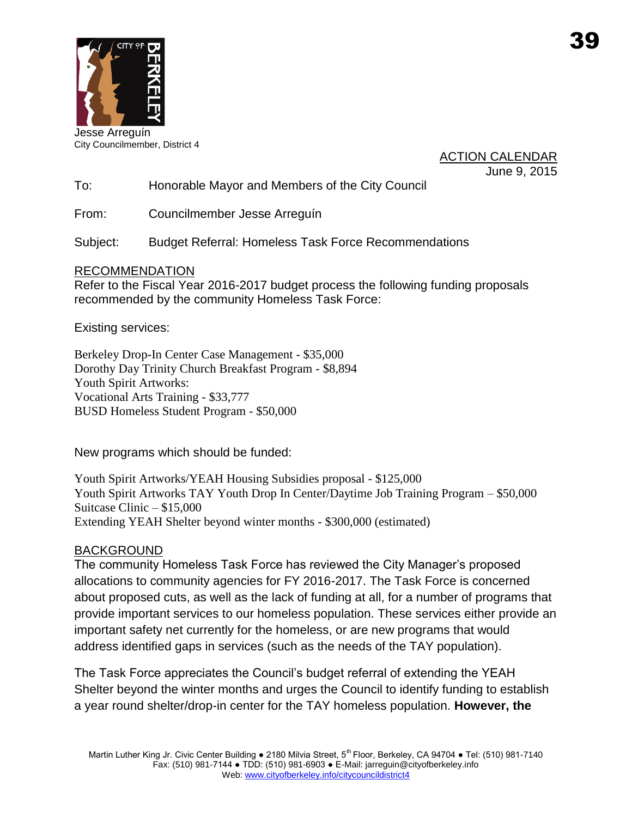

Jesse Arreguín City Councilmember, District 4

ACTION CALENDAR June 9, 2015

To: Honorable Mayor and Members of the City Council

From: Councilmember Jesse Arreguín

Subject: Budget Referral: Homeless Task Force Recommendations

### RECOMMENDATION

Refer to the Fiscal Year 2016-2017 budget process the following funding proposals recommended by the community Homeless Task Force:

Existing services:

Berkeley Drop-In Center Case Management - \$35,000 Dorothy Day Trinity Church Breakfast Program - \$8,894 Youth Spirit Artworks: Vocational Arts Training - \$33,777 BUSD Homeless Student Program - \$50,000

New programs which should be funded:

Youth Spirit Artworks/YEAH Housing Subsidies proposal - \$125,000 Youth Spirit Artworks TAY Youth Drop In Center/Daytime Job Training Program – \$50,000 Suitcase Clinic – \$15,000 Extending YEAH Shelter beyond winter months - \$300,000 (estimated)

### BACKGROUND

The community Homeless Task Force has reviewed the City Manager's proposed allocations to community agencies for FY 2016-2017. The Task Force is concerned about proposed cuts, as well as the lack of funding at all, for a number of programs that provide important services to our homeless population. These services either provide an important safety net currently for the homeless, or are new programs that would address identified gaps in services (such as the needs of the TAY population).

The Task Force appreciates the Council's budget referral of extending the YEAH Shelter beyond the winter months and urges the Council to identify funding to establish a year round shelter/drop-in center for the TAY homeless population. **However, the**